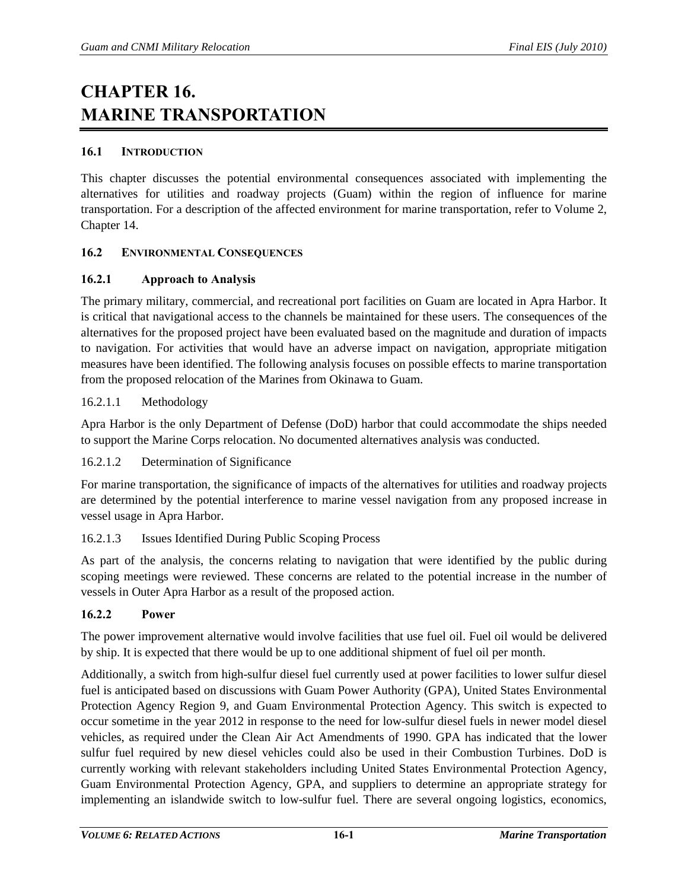# **CHAPTER 16. MARINE TRANSPORTATION**

# **16.1 INTRODUCTION**

This chapter discusses the potential environmental consequences associated with implementing the alternatives for utilities and roadway projects (Guam) within the region of influence for marine transportation. For a description of the affected environment for marine transportation, refer to Volume 2, Chapter 14.

# **16.2 ENVIRONMENTAL CONSEQUENCES**

# **16.2.1 Approach to Analysis**

The primary military, commercial, and recreational port facilities on Guam are located in Apra Harbor. It is critical that navigational access to the channels be maintained for these users. The consequences of the alternatives for the proposed project have been evaluated based on the magnitude and duration of impacts to navigation. For activities that would have an adverse impact on navigation, appropriate mitigation measures have been identified. The following analysis focuses on possible effects to marine transportation from the proposed relocation of the Marines from Okinawa to Guam.

# 16.2.1.1 Methodology

Apra Harbor is the only Department of Defense (DoD) harbor that could accommodate the ships needed to support the Marine Corps relocation. No documented alternatives analysis was conducted.

## 16.2.1.2 Determination of Significance

For marine transportation, the significance of impacts of the alternatives for utilities and roadway projects are determined by the potential interference to marine vessel navigation from any proposed increase in vessel usage in Apra Harbor.

## 16.2.1.3 Issues Identified During Public Scoping Process

As part of the analysis, the concerns relating to navigation that were identified by the public during scoping meetings were reviewed. These concerns are related to the potential increase in the number of vessels in Outer Apra Harbor as a result of the proposed action.

## **16.2.2 Power**

The power improvement alternative would involve facilities that use fuel oil. Fuel oil would be delivered by ship. It is expected that there would be up to one additional shipment of fuel oil per month.

Additionally, a switch from high-sulfur diesel fuel currently used at power facilities to lower sulfur diesel fuel is anticipated based on discussions with Guam Power Authority (GPA), United States Environmental Protection Agency Region 9, and Guam Environmental Protection Agency. This switch is expected to occur sometime in the year 2012 in response to the need for low-sulfur diesel fuels in newer model diesel vehicles, as required under the Clean Air Act Amendments of 1990. GPA has indicated that the lower sulfur fuel required by new diesel vehicles could also be used in their Combustion Turbines. DoD is currently working with relevant stakeholders including United States Environmental Protection Agency, Guam Environmental Protection Agency, GPA, and suppliers to determine an appropriate strategy for implementing an islandwide switch to low-sulfur fuel. There are several ongoing logistics, economics,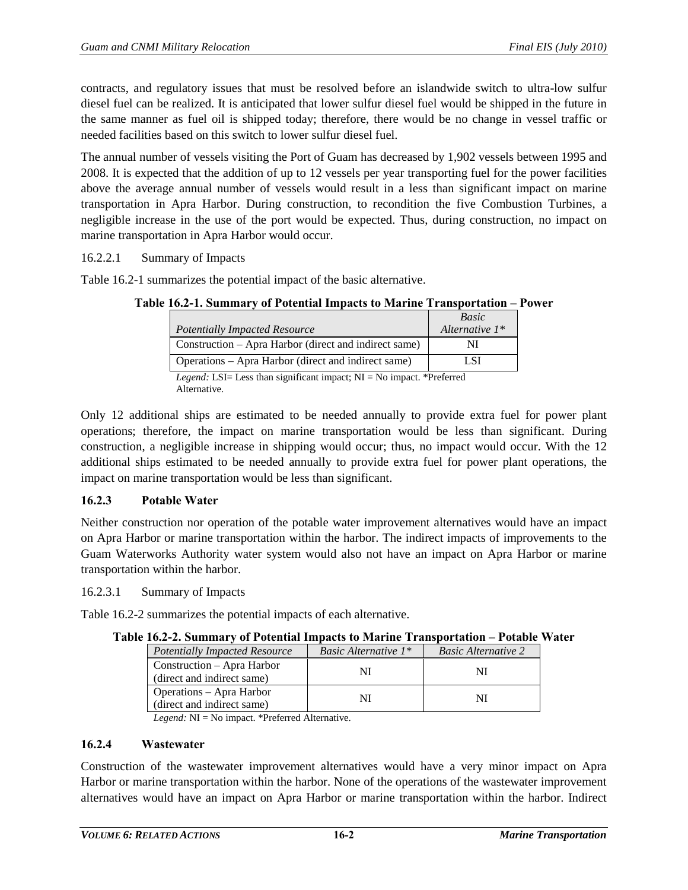contracts, and regulatory issues that must be resolved before an islandwide switch to ultra-low sulfur diesel fuel can be realized. It is anticipated that lower sulfur diesel fuel would be shipped in the future in the same manner as fuel oil is shipped today; therefore, there would be no change in vessel traffic or needed facilities based on this switch to lower sulfur diesel fuel.

The annual number of vessels visiting the Port of Guam has decreased by 1,902 vessels between 1995 and 2008. It is expected that the addition of up to 12 vessels per year transporting fuel for the power facilities above the average annual number of vessels would result in a less than significant impact on marine transportation in Apra Harbor. During construction, to recondition the five Combustion Turbines, a negligible increase in the use of the port would be expected. Thus, during construction, no impact on marine transportation in Apra Harbor would occur.

16.2.2.1 Summary of Impacts

<span id="page-1-0"></span>[Table 16.2-1](#page-1-0) summarizes the potential impact of the basic alternative.

|                                                                                | Basic             |  |
|--------------------------------------------------------------------------------|-------------------|--|
| <b>Potentially Impacted Resource</b>                                           | Alternative $1^*$ |  |
| Construction – Apra Harbor (direct and indirect same)                          |                   |  |
| Operations – Apra Harbor (direct and indirect same)                            | LSI               |  |
| <i>Legend:</i> LSI= Less than significant impact; $NI = No$ impact. *Preferred |                   |  |

|  |  | Table 16.2-1. Summary of Potential Impacts to Marine Transportation – Power |
|--|--|-----------------------------------------------------------------------------|
|  |  |                                                                             |

*Legend:* LSI= Less than significant impact; NI = No impact. \*Preferred Alternative.

Only 12 additional ships are estimated to be needed annually to provide extra fuel for power plant operations; therefore, the impact on marine transportation would be less than significant. During construction, a negligible increase in shipping would occur; thus, no impact would occur. With the 12 additional ships estimated to be needed annually to provide extra fuel for power plant operations, the impact on marine transportation would be less than significant.

## **16.2.3 Potable Water**

Neither construction nor operation of the potable water improvement alternatives would have an impact on Apra Harbor or marine transportation within the harbor. The indirect impacts of improvements to the Guam Waterworks Authority water system would also not have an impact on Apra Harbor or marine transportation within the harbor.

16.2.3.1 Summary of Impacts

<span id="page-1-1"></span>[Table 16.2-2](#page-1-1) summarizes the potential impacts of each alternative.

| лон неодиници у от голоници пирасы со манисти ганырогалооп |                                | T AMMANIA II               |
|------------------------------------------------------------|--------------------------------|----------------------------|
| <b>Potentially Impacted Resource</b>                       | <i>Basic Alternative</i> $1^*$ | <b>Basic Alternative 2</b> |
| Construction – Apra Harbor<br>(direct and indirect same)   | NI                             |                            |
| Operations – Apra Harbor<br>(direct and indirect same)     | NI                             |                            |

## **Table 16.2-2. Summary of Potential Impacts to Marine Transportation – Potable Water**

*Legend:* NI = No impact. \*Preferred Alternative.

## **16.2.4 Wastewater**

Construction of the wastewater improvement alternatives would have a very minor impact on Apra Harbor or marine transportation within the harbor. None of the operations of the wastewater improvement alternatives would have an impact on Apra Harbor or marine transportation within the harbor. Indirect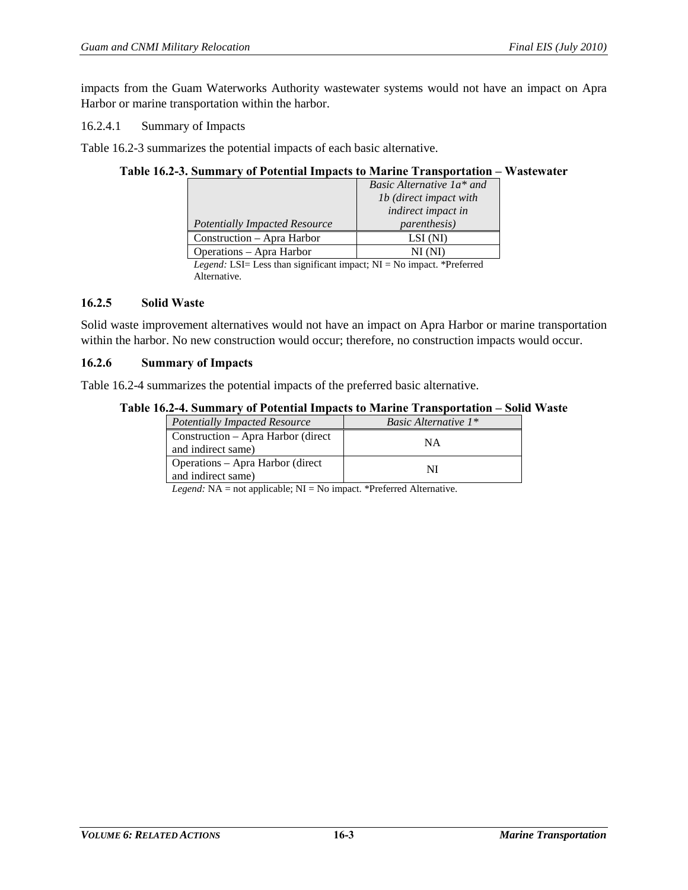impacts from the Guam Waterworks Authority wastewater systems would not have an impact on Apra Harbor or marine transportation within the harbor.

16.2.4.1 Summary of Impacts

<span id="page-2-0"></span>[Table 16.2-3](#page-2-0) summarizes the potential impacts of each basic alternative.

#### **Table 16.2-3. Summary of Potential Impacts to Marine Transportation – Wastewater**

|                                      | Basic Alternative 1a* and     |  |
|--------------------------------------|-------------------------------|--|
|                                      | <i>lb</i> (direct impact with |  |
|                                      | <i>indirect impact in</i>     |  |
| <b>Potentially Impacted Resource</b> | <i>parenthesis</i> )          |  |
| Construction – Apra Harbor           | LSI (NI)                      |  |
| Operations – Apra Harbor             |                               |  |

*Legend:* LSI= Less than significant impact; NI = No impact. \*Preferred Alternative.

#### **16.2.5 Solid Waste**

Solid waste improvement alternatives would not have an impact on Apra Harbor or marine transportation within the harbor. No new construction would occur; therefore, no construction impacts would occur.

#### **16.2.6 Summary of Impacts**

<span id="page-2-1"></span>[Table 16.2-4](#page-2-1) summarizes the potential impacts of the preferred basic alternative.

#### **Table 16.2-4. Summary of Potential Impacts to Marine Transportation – Solid Waste**

| <b>Potentially Impacted Resource</b>                     | <i>Basic Alternative</i> $1^*$ |
|----------------------------------------------------------|--------------------------------|
| Construction – Apra Harbor (direct<br>and indirect same) | NΑ                             |
| Operations – Apra Harbor (direct<br>and indirect same)   |                                |

*Legend:* NA = not applicable; NI = No impact. \*Preferred Alternative.